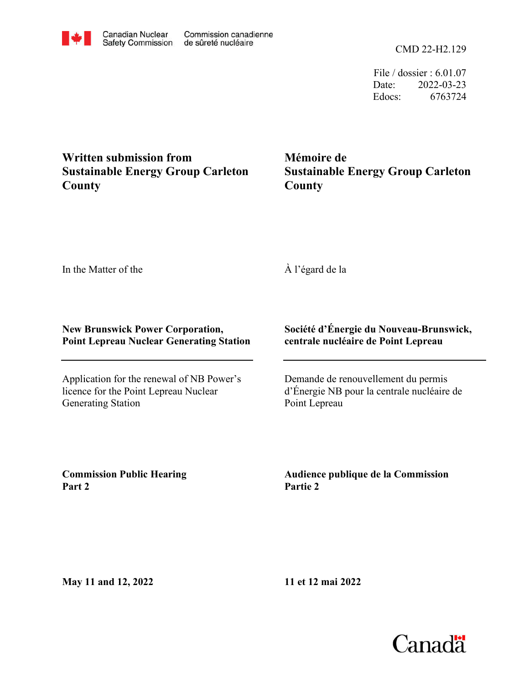CMD 22-H2.129

File / dossier : 6.01.07 Date: 2022-03-23 Edocs: 6763724

## **Written submission from Sustainable Energy Group Carleton County**

**Mémoire de Sustainable Energy Group Carleton County**

In the Matter of the

## À l'égard de la

## **New Brunswick Power Corporation, Point Lepreau Nuclear Generating Station**

Application for the renewal of NB Power's licence for the Point Lepreau Nuclear Generating Station

## **Société d'Énergie du Nouveau-Brunswick, centrale nucléaire de Point Lepreau**

Demande de renouvellement du permis d'Énergie NB pour la centrale nucléaire de Point Lepreau

**Commission Public Hearing Part 2**

**Audience publique de la Commission Partie 2**

**May 11 and 12, 2022**

**11 et 12 mai 2022**

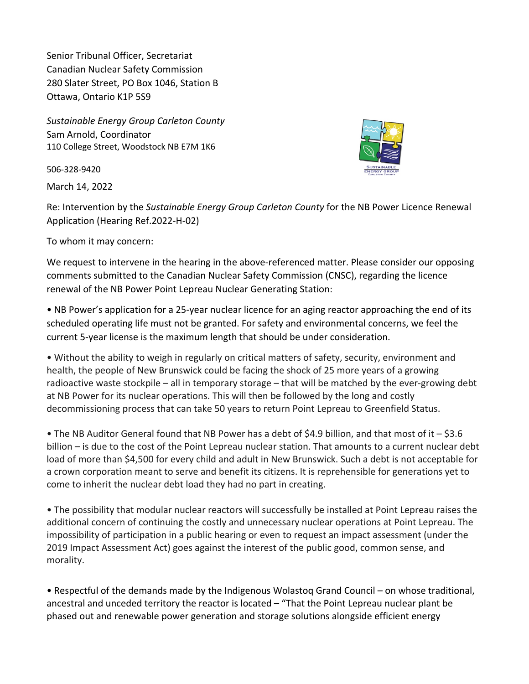Senior Tribunal Officer, Secretariat Canadian Nuclear Safety Commission 280 Slater Street, PO Box 1046, Station B Ottawa, Ontario K1P 5S9

*Sustainable Energy Group Carleton County* Sam Arnold, Coordinator 110 College Street, Woodstock NB E7M 1K6

506-328-9420

March 14, 2022



Re: Intervention by the *Sustainable Energy Group Carleton County* for the NB Power Licence Renewal Application (Hearing Ref.2022-H-02)

To whom it may concern:

We request to intervene in the hearing in the above-referenced matter. Please consider our opposing comments submitted to the Canadian Nuclear Safety Commission (CNSC), regarding the licence renewal of the NB Power Point Lepreau Nuclear Generating Station:

• NB Power's application for a 25-year nuclear licence for an aging reactor approaching the end of its scheduled operating life must not be granted. For safety and environmental concerns, we feel the current 5-year license is the maximum length that should be under consideration.

• Without the ability to weigh in regularly on critical matters of safety, security, environment and health, the people of New Brunswick could be facing the shock of 25 more years of a growing radioactive waste stockpile – all in temporary storage – that will be matched by the ever-growing debt at NB Power for its nuclear operations. This will then be followed by the long and costly decommissioning process that can take 50 years to return Point Lepreau to Greenfield Status.

• The NB Auditor General found that NB Power has a debt of \$4.9 billion, and that most of it – \$3.6 billion – is due to the cost of the Point Lepreau nuclear station. That amounts to a current nuclear debt load of more than \$4,500 for every child and adult in New Brunswick. Such a debt is not acceptable for a crown corporation meant to serve and benefit its citizens. It is reprehensible for generations yet to come to inherit the nuclear debt load they had no part in creating.

• The possibility that modular nuclear reactors will successfully be installed at Point Lepreau raises the additional concern of continuing the costly and unnecessary nuclear operations at Point Lepreau. The impossibility of participation in a public hearing or even to request an impact assessment (under the 2019 Impact Assessment Act) goes against the interest of the public good, common sense, and morality.

• Respectful of the demands made by the Indigenous Wolastoq Grand Council – on whose traditional, ancestral and unceded territory the reactor is located – "That the Point Lepreau nuclear plant be phased out and renewable power generation and storage solutions alongside efficient energy